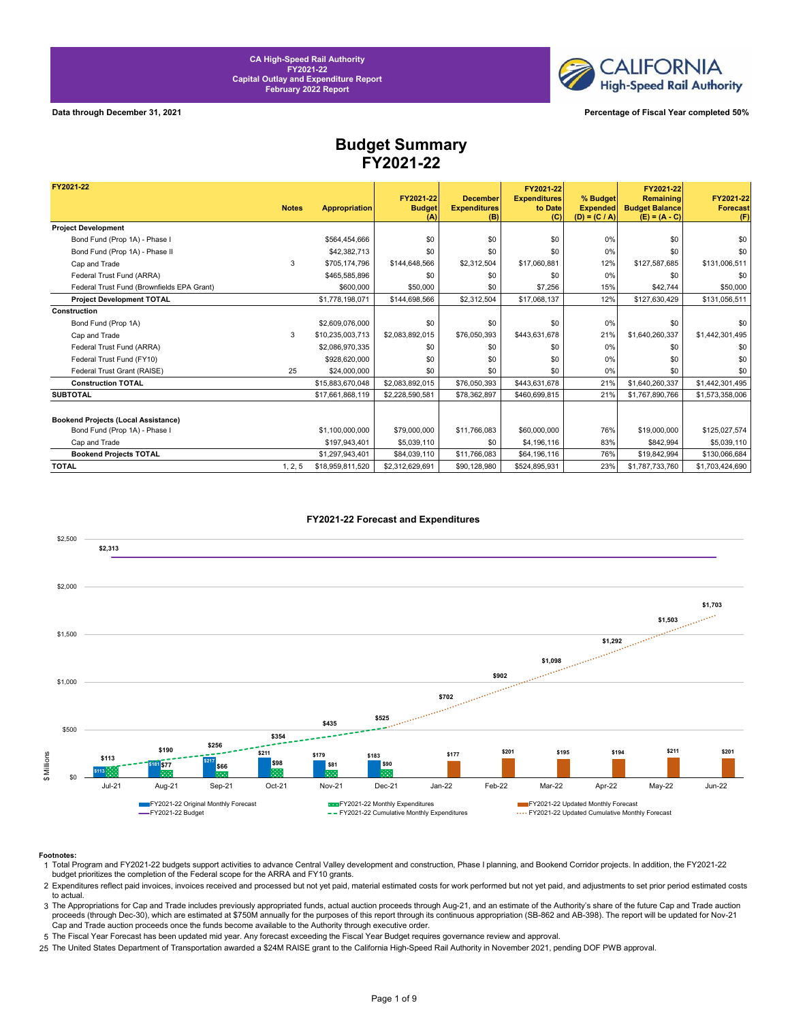

**Data through December 31, 2021 Percentage of Fiscal Year completed 50%**

### **Budget Summary FY2021-22**

| FY2021-22                                  |              |                      | FY2021-22            | <b>December</b>            | FY2021-22<br><b>Expenditures</b> |                                                | FY2021-22<br>Remaining                   | FY2021-22              |
|--------------------------------------------|--------------|----------------------|----------------------|----------------------------|----------------------------------|------------------------------------------------|------------------------------------------|------------------------|
|                                            | <b>Notes</b> | <b>Appropriation</b> | <b>Budget</b><br>(A) | <b>Expenditures</b><br>(B) | to Date<br>(C)                   | % Budget<br><b>Expended</b><br>$(D) = (C / A)$ | <b>Budget Balance</b><br>$(E) = (A - C)$ | <b>Forecast</b><br>(F) |
| <b>Project Development</b>                 |              |                      |                      |                            |                                  |                                                |                                          |                        |
| Bond Fund (Prop 1A) - Phase I              |              | \$564,454,666        | \$0                  | \$0                        | \$0                              | 0%                                             | \$0                                      | \$0                    |
| Bond Fund (Prop 1A) - Phase II             |              | \$42,382,713         | \$0                  | \$0                        | \$0                              | 0%                                             | \$0                                      | \$0                    |
| Cap and Trade                              | 3            | \$705,174,796        | \$144,648,566        | \$2,312,504                | \$17,060,881                     | 12%                                            | \$127,587,685                            | \$131,006,511          |
| Federal Trust Fund (ARRA)                  |              | \$465,585,896        | \$0                  | \$0                        | \$0                              | 0%                                             | \$0                                      | \$0                    |
| Federal Trust Fund (Brownfields EPA Grant) |              | \$600,000            | \$50,000             | \$0                        | \$7,256                          | 15%                                            | \$42,744                                 | \$50,000               |
| <b>Project Development TOTAL</b>           |              | \$1,778,198,071      | \$144,698,566        | \$2,312,504                | \$17,068,137                     | 12%                                            | \$127,630,429                            | \$131,056,511          |
| Construction                               |              |                      |                      |                            |                                  |                                                |                                          |                        |
| Bond Fund (Prop 1A)                        |              | \$2,609,076,000      | \$0                  | \$0                        | \$0                              | 0%                                             | \$0                                      | \$0                    |
| Cap and Trade                              | 3            | \$10,235,003,713     | \$2,083,892,015      | \$76,050,393               | \$443,631,678                    | 21%                                            | \$1,640,260,337                          | \$1,442,301,495        |
| Federal Trust Fund (ARRA)                  |              | \$2,086,970,335      | \$0                  | \$0                        | \$0                              | 0%                                             | \$0                                      | \$0                    |
| Federal Trust Fund (FY10)                  |              | \$928,620,000        | \$0                  | \$0                        | \$0                              | 0%                                             | \$0                                      | \$0                    |
| Federal Trust Grant (RAISE)                | 25           | \$24,000,000         | \$0                  | \$0                        | \$0                              | 0%                                             | \$0                                      | \$0                    |
| <b>Construction TOTAL</b>                  |              | \$15,883,670,048     | \$2,083,892,015      | \$76,050,393               | \$443,631,678                    | 21%                                            | \$1,640,260,337                          | \$1,442,301,495        |
| <b>SUBTOTAL</b>                            |              | \$17,661,868,119     | \$2,228,590,581      | \$78,362,897               | \$460,699,815                    | 21%                                            | \$1,767,890,766                          | \$1,573,358,006        |
|                                            |              |                      |                      |                            |                                  |                                                |                                          |                        |
| <b>Bookend Projects (Local Assistance)</b> |              |                      |                      |                            |                                  |                                                |                                          |                        |
| Bond Fund (Prop 1A) - Phase I              |              | \$1,100,000,000      | \$79,000,000         | \$11,766,083               | \$60,000,000                     | 76%                                            | \$19,000,000                             | \$125.027.574          |
| Cap and Trade                              |              | \$197,943,401        | \$5,039,110          | \$0                        | \$4,196,116                      | 83%                                            | \$842,994                                | \$5,039,110            |
| <b>Bookend Projects TOTAL</b>              |              | \$1,297,943,401      | \$84,039,110         | \$11,766,083               | \$64,196,116                     | 76%                                            | \$19,842,994                             | \$130,066,684          |
| <b>TOTAL</b>                               | 1, 2, 5      | \$18,959,811,520     | \$2,312,629,691      | \$90,128,980               | \$524,895,931                    | 23%                                            | \$1,787,733,760                          | \$1,703,424,690        |



### **FY2021-22 Forecast and Expenditures**

### **Footnotes:**

- 1 Total Program and FY2021-22 budgets support activities to advance Central Valley development and construction, Phase I planning, and Bookend Corridor projects. In addition, the FY2021-22 budget prioritizes the completion of the Federal scope for the ARRA and FY10 grants.
- 2 Expenditures reflect paid invoices, invoices received and processed but not yet paid, material estimated costs for work performed but not yet paid, and adjustments to set prior period estimated costs to actual.
- 3 The Appropriations for Cap and Trade includes previously appropriated funds, actual auction proceeds through Aug-21, and an estimate of the Authority's share of the future Cap and Trade auction proceeds (through Dec-30), which are estimated at \$750M annually for the purposes of this report through its continuous appropriation (SB-862 and AB-398). The report will be updated for Nov-21 Cap and Trade auction proceeds once the funds become available to the Authority through executive order.
- 5 The Fiscal Year Forecast has been updated mid year. Any forecast exceeding the Fiscal Year Budget requires governance review and approval.
- 25 The United States Department of Transportation awarded a \$24M RAISE grant to the California High-Speed Rail Authority in November 2021, pending DOF PWB approval.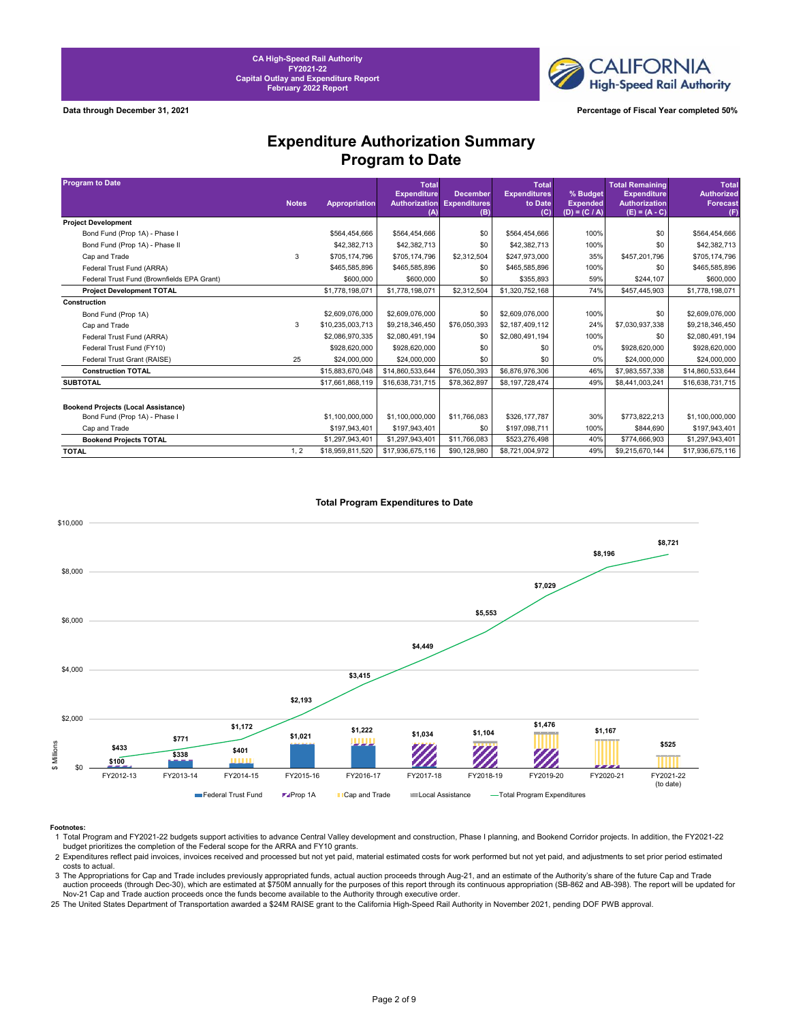**CALIFORNIA High-Speed Rail Authority** 

**Data through December 31, 2021 Percentage of Fiscal Year completed 50%**

### **Expenditure Authorization Summary Program to Date**

| <b>Program to Date</b>                     |              |                  | <b>Total</b>       |                                                      | <b>Total</b>                   |                             | <b>Total Remaining</b>              | <b>Total</b>                         |
|--------------------------------------------|--------------|------------------|--------------------|------------------------------------------------------|--------------------------------|-----------------------------|-------------------------------------|--------------------------------------|
|                                            | <b>Notes</b> | Appropriation    | <b>Expenditure</b> | <b>December</b><br><b>Authorization Expenditures</b> | <b>Expenditures</b><br>to Date | % Budget<br><b>Expended</b> | Expenditure<br><b>Authorization</b> | <b>Authorized</b><br><b>Forecast</b> |
|                                            |              |                  | (A)                | (B)                                                  | (C)                            | $(D) = (C / A)$             | $(E) = (A - C)$                     | (F)                                  |
| <b>Project Development</b>                 |              |                  |                    |                                                      |                                |                             |                                     |                                      |
| Bond Fund (Prop 1A) - Phase I              |              | \$564,454,666    | \$564,454,666      | \$0                                                  | \$564,454,666                  | 100%                        | \$0                                 | \$564,454,666                        |
| Bond Fund (Prop 1A) - Phase II             |              | \$42,382,713     | \$42,382,713       | \$0                                                  | \$42,382,713                   | 100%                        | \$0                                 | \$42,382,713                         |
| Cap and Trade                              | 3            | \$705.174.796    | \$705,174,796      | \$2,312,504                                          | \$247,973,000                  | 35%                         | \$457,201,796                       | \$705,174,796                        |
| Federal Trust Fund (ARRA)                  |              | \$465,585,896    | \$465,585,896      | \$0                                                  | \$465,585,896                  | 100%                        | \$0                                 | \$465,585,896                        |
| Federal Trust Fund (Brownfields EPA Grant) |              | \$600,000        | \$600,000          | \$0                                                  | \$355.893                      | 59%                         | \$244,107                           | \$600,000                            |
| <b>Project Development TOTAL</b>           |              | \$1,778,198,071  | \$1,778,198,071    | \$2,312,504                                          | \$1,320,752,168                | 74%                         | \$457,445,903                       | \$1,778,198,071                      |
| Construction                               |              |                  |                    |                                                      |                                |                             |                                     |                                      |
| Bond Fund (Prop 1A)                        |              | \$2,609,076,000  | \$2,609,076,000    | \$0                                                  | \$2,609,076,000                | 100%                        | \$0                                 | \$2,609,076,000                      |
| Cap and Trade                              | 3            | \$10,235,003,713 | \$9,218,346,450    | \$76,050,393                                         | \$2,187,409,112                | 24%                         | \$7,030,937,338                     | \$9,218,346,450                      |
| Federal Trust Fund (ARRA)                  |              | \$2,086,970,335  | \$2,080,491,194    | \$0                                                  | \$2,080,491,194                | 100%                        | \$0                                 | \$2,080,491,194                      |
| Federal Trust Fund (FY10)                  |              | \$928,620,000    | \$928,620,000      | \$0                                                  | \$0                            | 0%                          | \$928,620,000                       | \$928,620,000                        |
| Federal Trust Grant (RAISE)                | 25           | \$24,000,000     | \$24,000,000       | \$0                                                  | \$0                            | 0%                          | \$24,000,000                        | \$24,000,000                         |
| <b>Construction TOTAL</b>                  |              | \$15,883,670,048 | \$14,860,533,644   | \$76,050,393                                         | \$6,876,976,306                | 46%                         | \$7,983,557,338                     | \$14,860,533,644                     |
| <b>SUBTOTAL</b>                            |              | \$17,661,868,119 | \$16,638,731,715   | \$78,362,897                                         | \$8,197,728,474                | 49%                         | \$8,441,003,241                     | \$16,638,731,715                     |
|                                            |              |                  |                    |                                                      |                                |                             |                                     |                                      |
| <b>Bookend Projects (Local Assistance)</b> |              |                  |                    |                                                      |                                |                             |                                     |                                      |
| Bond Fund (Prop 1A) - Phase I              |              | \$1,100,000,000  | \$1,100,000,000    | \$11,766,083                                         | \$326,177,787                  | 30%                         | \$773,822,213                       | \$1,100,000,000                      |
| Cap and Trade                              |              | \$197,943,401    | \$197,943,401      | \$0                                                  | \$197,098,711                  | 100%                        | \$844,690                           | \$197,943,401                        |
| <b>Bookend Projects TOTAL</b>              |              | \$1,297,943,401  | \$1,297,943,401    | \$11,766,083                                         | \$523,276,498                  | 40%                         | \$774,666,903                       | \$1,297,943,401                      |
| <b>TOTAL</b>                               | 1, 2         | \$18,959,811,520 | \$17,936,675,116   | \$90,128,980                                         | \$8,721,004,972                | 49%                         | \$9,215,670,144                     | \$17,936,675,116                     |



### **Total Program Expenditures to Date**

3 The Appropriations for Cap and Trade includes previously appropriated funds, actual auction proceeds through Aug-21, and an estimate of the Authority's share of the future Cap and Trade auction proceeds (through Dec-30), which are estimated at \$750M annually for the purposes of this report through its continuous appropriation (SB-862 and AB-398). The report will be updated for Nov-21 Cap and Trade auction proceeds once the funds become available to the Authority through executive order.

25 The United States Department of Transportation awarded a \$24M RAISE grant to the California High-Speed Rail Authority in November 2021, pending DOF PWB approval.

Footnotes:<br>1 Total Program and FY2021-22 budgets support activities to advance Central Valley development and construction, Phase I planning, and Bookend Corridor projects. In addition, the FY2021-22<br>budget prioritizes the

<sup>2</sup> Expenditures reflect paid invoices, invoices received and processed but not yet paid, material estimated costs for work performed but not yet paid, and adjustments to set prior period estimated costs to actual.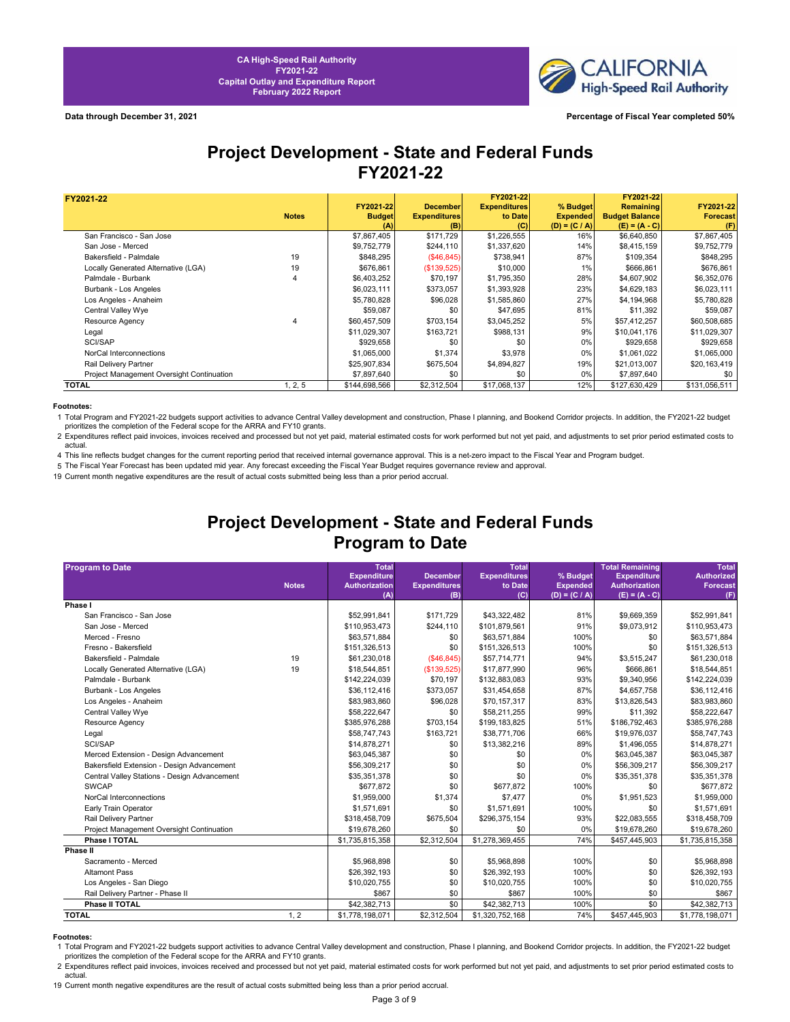

## **Project Development - State and Federal Funds FY2021-22**

| FY2021-22                                 |              |               |                     | FY2021-22           |                 | FY2021-22             |                 |
|-------------------------------------------|--------------|---------------|---------------------|---------------------|-----------------|-----------------------|-----------------|
|                                           |              | FY2021-22     | <b>December</b>     | <b>Expenditures</b> | % Budget        | Remaining             | FY2021-22       |
|                                           | <b>Notes</b> | <b>Budget</b> | <b>Expenditures</b> | to Date             | <b>Expended</b> | <b>Budget Balance</b> | <b>Forecast</b> |
|                                           |              | (A)           | (B)                 | (C)                 | $(D) = (C / A)$ | $(E) = (A - C)$       | (F)             |
| San Francisco - San Jose                  |              | \$7,867,405   | \$171,729           | \$1,226,555         | 16%             | \$6,640,850           | \$7,867,405     |
| San Jose - Merced                         |              | \$9,752,779   | \$244,110           | \$1,337,620         | 14%             | \$8,415,159           | \$9,752,779     |
| Bakersfield - Palmdale                    | 19           | \$848,295     | (\$46,845)          | \$738,941           | 87%             | \$109,354             | \$848,295       |
| Locally Generated Alternative (LGA)       | 19           | \$676,861     | (\$139,525)         | \$10,000            | 1%              | \$666,861             | \$676,861       |
| Palmdale - Burbank                        |              | \$6,403,252   | \$70,197            | \$1,795,350         | 28%             | \$4,607,902           | \$6,352,076     |
| Burbank - Los Angeles                     |              | \$6,023,111   | \$373,057           | \$1,393,928         | 23%             | \$4,629,183           | \$6,023,111     |
| Los Angeles - Anaheim                     |              | \$5,780,828   | \$96,028            | \$1,585,860         | 27%             | \$4,194,968           | \$5,780,828     |
| Central Valley Wye                        |              | \$59,087      | \$0                 | \$47,695            | 81%             | \$11,392              | \$59,087        |
| Resource Agency                           |              | \$60,457,509  | \$703,154           | \$3,045,252         | 5%              | \$57,412,257          | \$60,508,685    |
| Legal                                     |              | \$11,029,307  | \$163,721           | \$988,131           | 9%              | \$10,041,176          | \$11,029,307    |
| SCI/SAP                                   |              | \$929,658     | \$0                 | \$0                 | 0%              | \$929,658             | \$929,658       |
| NorCal Interconnections                   |              | \$1,065,000   | \$1,374             | \$3,978             | 0%              | \$1,061,022           | \$1,065,000     |
| Rail Delivery Partner                     |              | \$25,907,834  | \$675,504           | \$4,894,827         | 19%             | \$21,013,007          | \$20,163,419    |
| Project Management Oversight Continuation |              | \$7,897,640   | \$0                 | \$0                 | 0%              | \$7,897,640           | \$0             |
| <b>TOTAL</b>                              | 1, 2, 5      | \$144,698,566 | \$2,312,504         | \$17,068,137        | 12%             | \$127,630,429         | \$131,056,511   |

### **Footnotes:** Professional Project Development - State and Funds Footnotes:  $\mathbf{P} = \mathbf{P} \mathbf{P} \mathbf{P} \mathbf{P}$

1 Total Program and FY2021-22 budgets support activities to advance Central Valley development and construction, Phase I planning, and Bookend Corridor projects. In addition, the FY2021-22 budget<br>prioritizes the completion

2 Expenditures reflect paid invoices, invoices received and processed but not yet paid, material estimated costs for work performed but not yet paid, and adjustments to set prior period estimated costs to actual.

4 This line reflects budget changes for the current reporting period that received internal governance approval. This is a net-zero impact to the Fiscal Year and Program budget.

5 The Fiscal Year Forecast has been updated mid year. Any forecast exceeding the Fiscal Year Budget requires governance review and approval.

19 Current month negative expenditures are the result of actual costs submitted being less than a prior period accrual.

## **Project Development - State and Federal Funds Program to Date**

| <b>Program to Date</b>                       |              | <b>Total</b>         |                     | <b>Total</b>        |                 | <b>Total Remaining</b> | <b>Total</b>      |
|----------------------------------------------|--------------|----------------------|---------------------|---------------------|-----------------|------------------------|-------------------|
|                                              |              | <b>Expenditure</b>   | <b>December</b>     | <b>Expenditures</b> | % Budget        | <b>Expenditure</b>     | <b>Authorized</b> |
|                                              | <b>Notes</b> | <b>Authorization</b> | <b>Expenditures</b> | to Date             | <b>Expended</b> | <b>Authorization</b>   | <b>Forecast</b>   |
| Phase I                                      |              | (A)                  | (B)                 | (C)                 | $(D) = (C / A)$ | $(E) = (A - C)$        | (F)               |
| San Francisco - San Jose                     |              | \$52,991,841         | \$171,729           | \$43,322,482        | 81%             | \$9,669,359            | \$52,991,841      |
| San Jose - Merced                            |              | \$110,953,473        | \$244,110           | \$101,879,561       | 91%             | \$9,073,912            | \$110,953,473     |
| Merced - Fresno                              |              | \$63,571,884         | \$0                 | \$63,571,884        | 100%            | \$0                    | \$63,571,884      |
| Fresno - Bakersfield                         |              | \$151.326.513        | \$0                 | \$151,326,513       | 100%            | \$0                    | \$151,326,513     |
| Bakersfield - Palmdale                       | 19           | \$61,230,018         | (\$46,845)          | \$57,714,771        | 94%             | \$3,515,247            | \$61,230,018      |
| Locally Generated Alternative (LGA)          | 19           | \$18,544,851         | (\$139,525)         | \$17,877,990        | 96%             | \$666,861              | \$18,544,851      |
| Palmdale - Burbank                           |              | \$142,224,039        | \$70,197            | \$132,883,083       | 93%             | \$9,340,956            | \$142,224,039     |
| Burbank - Los Angeles                        |              | \$36,112,416         | \$373,057           | \$31,454,658        | 87%             | \$4,657,758            | \$36,112,416      |
| Los Angeles - Anaheim                        |              | \$83,983,860         | \$96,028            | \$70,157,317        | 83%             | \$13,826,543           | \$83,983,860      |
| Central Valley Wye                           |              | \$58,222,647         | \$0                 | \$58,211,255        | 99%             | \$11.392               | \$58,222,647      |
| Resource Agency                              |              | \$385,976,288        | \$703,154           | \$199,183,825       | 51%             | \$186,792,463          | \$385,976,288     |
| Legal                                        |              | \$58,747,743         | \$163,721           | \$38,771,706        | 66%             | \$19,976,037           | \$58,747,743      |
| SCI/SAP                                      |              | \$14,878,271         | \$0                 | \$13,382,216        | 89%             | \$1,496,055            | \$14,878,271      |
| Merced Extension - Design Advancement        |              | \$63,045,387         | \$0                 | \$0                 | 0%              | \$63,045,387           | \$63,045,387      |
| Bakersfield Extension - Design Advancement   |              | \$56,309,217         | \$0                 | \$0                 | 0%              | \$56,309,217           | \$56,309,217      |
| Central Valley Stations - Design Advancement |              | \$35,351,378         | \$0                 | \$0                 | 0%              | \$35,351,378           | \$35,351,378      |
| <b>SWCAP</b>                                 |              | \$677.872            | \$0                 | \$677,872           | 100%            | \$0                    | \$677,872         |
| NorCal Interconnections                      |              | \$1,959,000          | \$1,374             | \$7,477             | 0%              | \$1,951,523            | \$1,959,000       |
| Early Train Operator                         |              | \$1,571,691          | \$0                 | \$1,571,691         | 100%            | \$0                    | \$1,571,691       |
| Rail Delivery Partner                        |              | \$318,458,709        | \$675,504           | \$296,375,154       | 93%             | \$22,083,555           | \$318,458,709     |
| Project Management Oversight Continuation    |              | \$19,678,260         | \$0                 | \$0                 | 0%              | \$19,678,260           | \$19,678,260      |
| Phase I TOTAL                                |              | \$1,735,815,358      | \$2,312,504         | \$1,278,369,455     | 74%             | \$457,445,903          | \$1,735,815,358   |
| Phase II                                     |              |                      |                     |                     |                 |                        |                   |
| Sacramento - Merced                          |              | \$5,968,898          | \$0                 | \$5,968,898         | 100%            | \$0                    | \$5,968,898       |
| <b>Altamont Pass</b>                         |              | \$26,392,193         | \$0                 | \$26,392,193        | 100%            | \$0                    | \$26,392,193      |
| Los Angeles - San Diego                      |              | \$10,020,755         | \$0                 | \$10,020,755        | 100%            | \$0                    | \$10,020,755      |
| Rail Delivery Partner - Phase II             |              | \$867                | \$0                 | \$867               | 100%            | \$0                    | \$867             |
| Phase II TOTAL                               |              | \$42,382,713         | \$0                 | \$42,382,713        | 100%            | \$0                    | \$42,382,713      |
| <b>TOTAL</b>                                 | 1, 2         | \$1,778,198,071      | \$2,312,504         | \$1,320,752,168     | 74%             | \$457,445,903          | \$1,778,198,071   |

**Footnotes:**<br>1 Total Program and FY2021-22 budgets support activities to advance Central Valley development and construction, Phase I planning, and Bookend Corridor projects. In addition, the FY2021-22 budget prioritizes the completion of the Federal scope for the ARRA and FY10 grants.

2 Expenditures reflect paid invoices, invoices received and processed but not yet paid, material estimated costs for work performed but not yet paid, and adjustments to set prior period estimated costs to actual.

19 Current month negative expenditures are the result of actual costs submitted being less than a prior period accrual.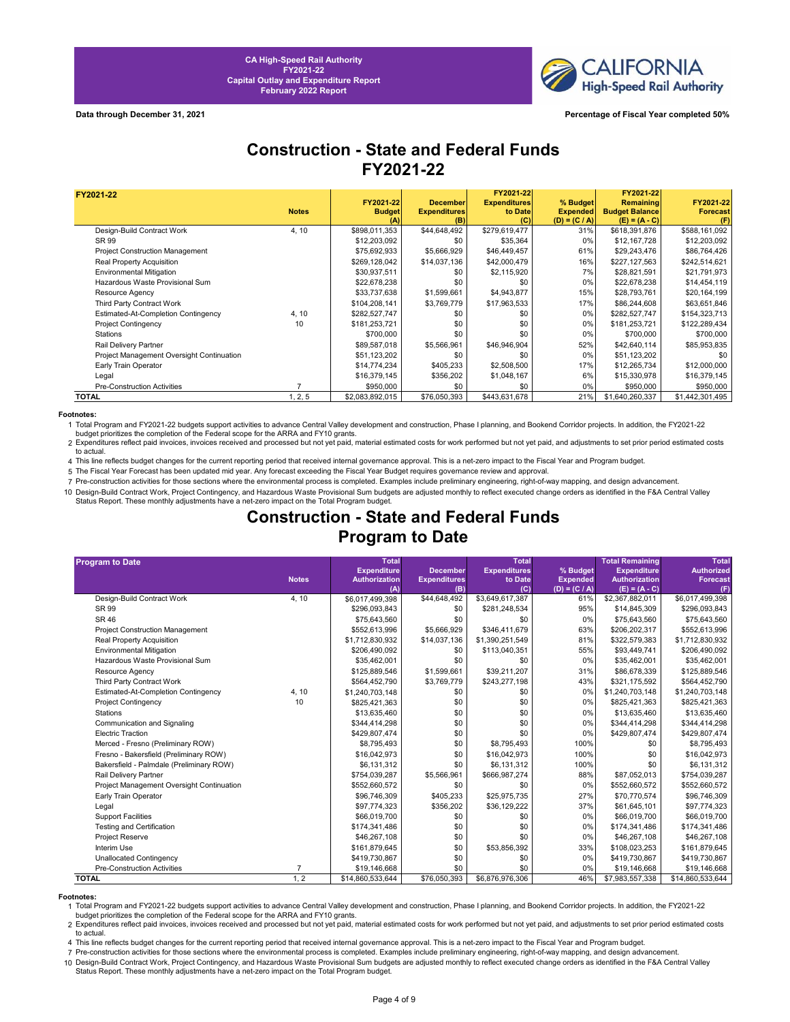

**Data through December 31, 2021 Percentage of Fiscal Year completed 50%**

## **Construction - State and Federal Funds FY2021-22**

| FY2021-22                                 |              |                                  |                                               | FY2021-22                             |                                                | FY2021-22                                                    |                                     |
|-------------------------------------------|--------------|----------------------------------|-----------------------------------------------|---------------------------------------|------------------------------------------------|--------------------------------------------------------------|-------------------------------------|
|                                           | <b>Notes</b> | FY2021-22<br><b>Budget</b><br>ŒΝ | <b>December</b><br><b>Expenditures</b><br>(B) | <b>Expenditures</b><br>to Date<br>(C) | % Budget<br><b>Expended</b><br>$(D) = (C / A)$ | <b>Remaining</b><br><b>Budget Balance</b><br>$(E) = (A - C)$ | FY2021-22<br><b>Forecast</b><br>(F) |
| Design-Build Contract Work                | 4, 10        | \$898,011,353                    | \$44,648,492                                  | \$279,619,477                         | 31%                                            | \$618,391,876                                                | \$588,161,092                       |
| SR 99                                     |              | \$12,203,092                     | \$0                                           | \$35,364                              | 0%                                             | \$12,167,728                                                 | \$12,203,092                        |
| <b>Project Construction Management</b>    |              | \$75,692,933                     | \$5,666,929                                   | \$46,449,457                          | 61%                                            | \$29,243,476                                                 | \$86,764,426                        |
| Real Property Acquisition                 |              | \$269,128,042                    | \$14,037,136                                  | \$42,000,479                          | 16%                                            | \$227,127,563                                                | \$242,514,621                       |
| Environmental Mitigation                  |              | \$30,937,511                     | \$0                                           | \$2,115,920                           | 7%                                             | \$28,821,591                                                 | \$21,791,973                        |
| Hazardous Waste Provisional Sum           |              | \$22,678,238                     | \$0                                           | \$0                                   | 0%                                             | \$22,678,238                                                 | \$14,454,119                        |
| Resource Agency                           |              | \$33,737,638                     | \$1,599,661                                   | \$4,943,877                           | 15%                                            | \$28,793,761                                                 | \$20,164,199                        |
| Third Party Contract Work                 |              | \$104,208,141                    | \$3,769,779                                   | \$17,963,533                          | 17%                                            | \$86,244,608                                                 | \$63,651,846                        |
| Estimated-At-Completion Contingency       | 4, 10        | \$282,527,747                    | \$0                                           | \$0                                   | 0%                                             | \$282,527,747                                                | \$154,323,713                       |
| <b>Project Contingency</b>                | 10           | \$181,253,721                    | \$0                                           | \$0                                   | 0%                                             | \$181,253,721                                                | \$122,289,434                       |
| <b>Stations</b>                           |              | \$700,000                        | \$0                                           | \$0                                   | 0%                                             | \$700,000                                                    | \$700,000                           |
| Rail Delivery Partner                     |              | \$89,587,018                     | \$5,566,961                                   | \$46,946,904                          | 52%                                            | \$42,640,114                                                 | \$85,953,835                        |
| Project Management Oversight Continuation |              | \$51,123,202                     | \$0                                           | \$0                                   | 0%                                             | \$51,123,202                                                 | \$0                                 |
| Early Train Operator                      |              | \$14,774,234                     | \$405,233                                     | \$2,508,500                           | 17%                                            | \$12,265,734                                                 | \$12,000,000                        |
| Legal                                     |              | \$16,379,145                     | \$356,202                                     | \$1,048,167                           | 6%                                             | \$15,330,978                                                 | \$16,379,145                        |
| <b>Pre-Construction Activities</b>        |              | \$950,000                        | \$0                                           | \$0                                   | 0%                                             | \$950,000                                                    | \$950,000                           |
| TOTAL                                     | 1, 2, 5      | \$2,083,892,015                  | \$76,050,393                                  | \$443,631,678                         | 21%                                            | \$1,640,260,337                                              | \$1,442,301,495                     |

**Footnotes:**<br>1 Total Program and FY2021-22 budgets support activities to advance Central Valley development and construction, Phase I planning, and Bookend Corridor projects. In addition, the FY2021-22<br>budget prioritizes t

2 Expenditures reflect paid invoices, invoices received and processed but not yet paid, material estimated costs for work performed but not yet paid, and adjustments to set prior period estimated costs to actual.

4 This line reflects budget changes for the current reporting period that received internal governance approval. This is a net-zero impact to the Fiscal Year and Program budget.

5 The Fiscal Year Forecast has been updated mid year. Any forecast exceeding the Fiscal Year Budget requires governance review and approval.

7 Pre-construction activities for those sections where the environmental process is completed. Examples include preliminary engineering, right-of-way mapping, and design advancement.

10 Design-Build Contract Work, Project Contingency, and Hazardous Waste Provisional Sum budgets are adjusted monthly to reflect executed change orders as identified in the F&A Central Valley Status Report. These monthly adjustments have a net-zero impact on the Total Program budget.

## **Construction - State and Federal Funds Program to Date**

| <b>Program to Date</b>                    |                | <b>Total</b>         |                     | <b>Total</b>        |                 | <b>Total Remaining</b> | <b>Total</b>      |
|-------------------------------------------|----------------|----------------------|---------------------|---------------------|-----------------|------------------------|-------------------|
|                                           |                | <b>Expenditure</b>   | <b>December</b>     | <b>Expenditures</b> | % Budget        | <b>Expenditure</b>     | <b>Authorized</b> |
|                                           | <b>Notes</b>   | <b>Authorization</b> | <b>Expenditures</b> | to Date             | <b>Expended</b> | <b>Authorization</b>   | <b>Forecast</b>   |
|                                           |                | (A)                  | (B)                 | (C)                 | $(D) = (C / A)$ | $(E) = (A - C)$        | (F)               |
| Design-Build Contract Work                | 4, 10          | \$6,017,499,398      | \$44,648,492        | \$3,649,617,387     | 61%             | \$2,367,882,011        | \$6,017,499,398   |
| SR 99                                     |                | \$296,093,843        | \$0                 | \$281,248,534       | 95%             | \$14,845,309           | \$296,093,843     |
| SR 46                                     |                | \$75,643,560         | \$0                 | \$0                 | 0%              | \$75,643,560           | \$75,643,560      |
| <b>Project Construction Management</b>    |                | \$552,613,996        | \$5,666,929         | \$346.411.679       | 63%             | \$206,202,317          | \$552,613,996     |
| Real Property Acquisition                 |                | \$1,712,830,932      | \$14,037,136        | \$1,390,251,549     | 81%             | \$322,579,383          | \$1,712,830,932   |
| <b>Environmental Mitigation</b>           |                | \$206,490,092        | \$0                 | \$113,040,351       | 55%             | \$93,449,741           | \$206,490,092     |
| Hazardous Waste Provisional Sum           |                | \$35,462,001         | \$0                 | \$0                 | 0%              | \$35,462,001           | \$35,462,001      |
| Resource Agency                           |                | \$125,889,546        | \$1,599,661         | \$39,211,207        | 31%             | \$86,678,339           | \$125,889,546     |
| Third Party Contract Work                 |                | \$564,452,790        | \$3,769,779         | \$243,277,198       | 43%             | \$321,175,592          | \$564,452,790     |
| Estimated-At-Completion Contingency       | 4, 10          | \$1,240,703,148      | \$0                 | \$0                 | 0%              | \$1,240,703,148        | \$1,240,703,148   |
| <b>Project Contingency</b>                | 10             | \$825,421,363        | \$0                 | \$0                 | 0%              | \$825,421,363          | \$825,421,363     |
| Stations                                  |                | \$13,635,460         | \$0                 | \$0                 | 0%              | \$13,635,460           | \$13,635,460      |
| Communication and Signaling               |                | \$344,414,298        | \$0                 | \$0                 | 0%              | \$344,414,298          | \$344,414,298     |
| <b>Electric Traction</b>                  |                | \$429,807,474        | \$0                 | \$0                 | 0%              | \$429,807,474          | \$429,807,474     |
| Merced - Fresno (Preliminary ROW)         |                | \$8,795,493          | \$0                 | \$8,795,493         | 100%            | \$0                    | \$8,795,493       |
| Fresno - Bakersfield (Preliminary ROW)    |                | \$16,042,973         | \$0                 | \$16,042,973        | 100%            | \$0                    | \$16,042,973      |
| Bakersfield - Palmdale (Preliminary ROW)  |                | \$6,131,312          | \$0                 | \$6,131,312         | 100%            | \$0                    | \$6,131,312       |
| Rail Delivery Partner                     |                | \$754,039,287        | \$5,566,961         | \$666,987,274       | 88%             | \$87,052,013           | \$754,039,287     |
| Project Management Oversight Continuation |                | \$552,660,572        | \$0                 | \$0                 | 0%              | \$552,660,572          | \$552,660,572     |
| Early Train Operator                      |                | \$96,746,309         | \$405,233           | \$25,975,735        | 27%             | \$70,770,574           | \$96,746,309      |
| Legal                                     |                | \$97,774,323         | \$356,202           | \$36,129,222        | 37%             | \$61,645,101           | \$97,774,323      |
| <b>Support Facilities</b>                 |                | \$66,019,700         | \$0                 | \$0                 | 0%              | \$66,019,700           | \$66,019,700      |
| <b>Testing and Certification</b>          |                | \$174,341,486        | \$0                 | \$0                 | 0%              | \$174,341,486          | \$174,341,486     |
| Project Reserve                           |                | \$46,267,108         | \$0                 | \$0                 | 0%              | \$46,267,108           | \$46,267,108      |
| Interim Use                               |                | \$161,879,645        | \$0                 | \$53,856,392        | 33%             | \$108,023,253          | \$161,879,645     |
| <b>Unallocated Contingency</b>            |                | \$419,730,867        | \$0                 | \$0                 | 0%              | \$419,730,867          | \$419,730,867     |
| <b>Pre-Construction Activities</b>        | $\overline{7}$ | \$19,146,668         | \$0                 | \$0                 | 0%              | \$19,146,668           | \$19,146,668      |
| <b>TOTAL</b>                              | 1.2            | \$14,860,533,644     | \$76,050,393        | \$6,876,976,306     | 46%             | \$7,983,557,338        | \$14,860,533,644  |

**Footnotes:**<br>19 Total Program and FY2021-22 budgets support activities to advance Central Valley development and construction, Phase I planning, and Bookend Corridor projects. In addition, the FY2021-22 budget prioritizes the completion of the Federal scope for the ARRA and FY10 grants.

2 Expenditures reflect paid invoices, invoices received and processed but not yet paid, material estimated costs for work performed but not yet paid, and adjustments to set prior period estimated costs

4 This line reflects budget changes for the current reporting period that received internal governance approval. This is a net-zero impact to the Fiscal Year and Program budget. to actual.

7 Pre-construction activities for those sections where the environmental process is completed. Examples include preliminary engineering, right-of-way mapping, and design advancement.

10 Design-Build Contract Work, Project Contingency, and Hazardous Waste Provisional Sum budgets are adjusted monthly to reflect executed change orders as identified in the F&A Central Valley Status Report. These monthly adjustments have a net-zero impact on the Total Program budget.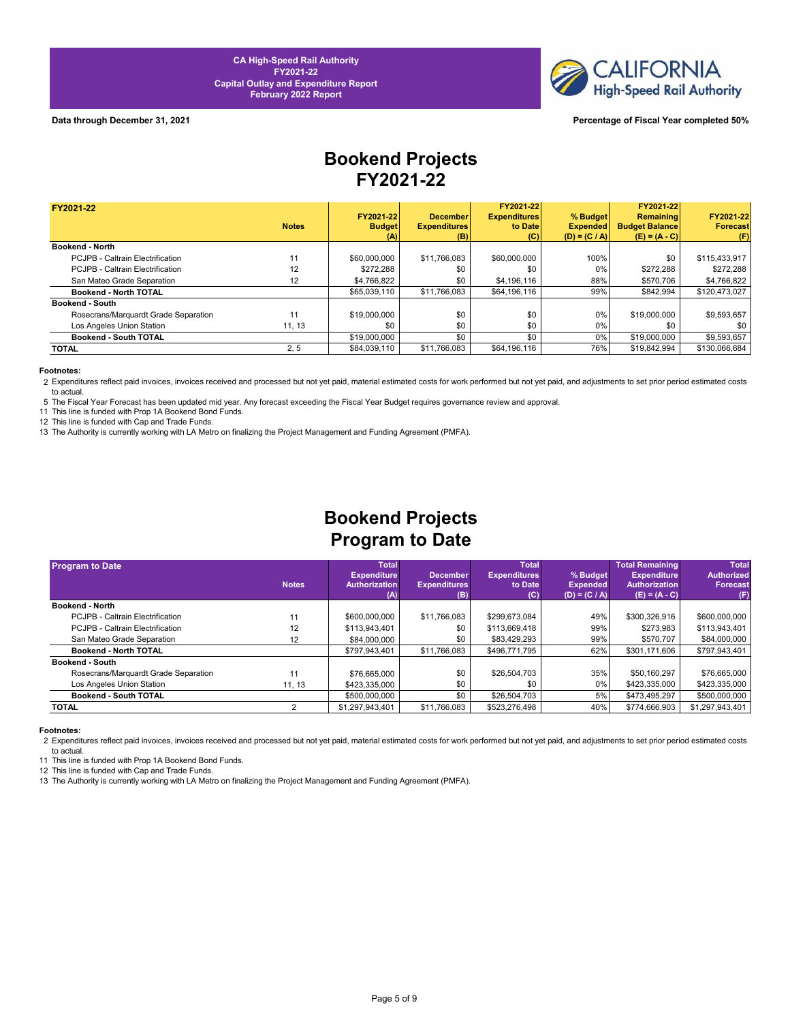

### **Data through December 31, 2021 Percentage of Fiscal Year completed 50%**

# **Bookend Projects FY2021-22**

| FY2021-22                            |              |               |                     | FY2021-22           |                 | FY2021-22             |                 |
|--------------------------------------|--------------|---------------|---------------------|---------------------|-----------------|-----------------------|-----------------|
|                                      |              | FY2021-22     | <b>December</b>     | <b>Expenditures</b> | % Budget        | Remaining             | FY2021-22       |
|                                      | <b>Notes</b> | <b>Budget</b> | <b>Expenditures</b> | to Date             | <b>Expended</b> | <b>Budget Balance</b> | <b>Forecast</b> |
|                                      |              | (A)           | (B)                 | (C)                 | $(D) = (C / A)$ | $(E) = (A - C)$       | (F)             |
| <b>Bookend - North</b>               |              |               |                     |                     |                 |                       |                 |
| PCJPB - Caltrain Electrification     | 11           | \$60,000,000  | \$11,766,083        | \$60,000,000        | 100%            | \$0                   | \$115,433,917   |
| PCJPB - Caltrain Electrification     | 12           | \$272.288     | \$0                 | \$0                 | 0%              | \$272.288             | \$272.288       |
| San Mateo Grade Separation           | 12           | \$4,766,822   | \$0                 | \$4,196,116         | 88%             | \$570.706             | \$4.766.822     |
| Bookend - North TOTAL                |              | \$65,039,110  | \$11,766,083        | \$64,196,116        | 99%             | \$842.994             | \$120.473.027   |
| Bookend - South                      |              |               |                     |                     |                 |                       |                 |
| Rosecrans/Marquardt Grade Separation | 11           | \$19,000,000  | \$0                 | \$0                 | 0%              | \$19,000,000          | \$9,593,657     |
| Los Angeles Union Station            | 11, 13       | \$0           | \$0                 | \$0                 | $0\%$           | \$0                   | \$0             |
| Bookend - South TOTAL                |              | \$19,000,000  | \$0                 | \$0                 | 0%              | \$19,000,000          | \$9,593,657     |
| <b>TOTAL</b>                         | 2, 5         | \$84,039,110  | \$11,766,083        | \$64,196,116        | 76%             | \$19,842,994          | \$130.066.684   |

### **Footnotes:**

2 Expenditures reflect paid invoices, invoices received and processed but not yet paid, material estimated costs for work performed but not yet paid, and adjustments to set prior period estimated costs to actual.

5 The Fiscal Year Forecast has been updated mid year. Any forecast exceeding the Fiscal Year Budget requires governance review and approval.

11 This line is funded with Prop 1A Bookend Bond Funds.

12 This line is funded with Cap and Trade Funds.

13 The Authority is currently working with LA Metro on finalizing the Project Management and Funding Agreement (PMFA).

## **Bookend Projects Program to Date**

| <b>Program to Date</b>               |              | <b>Total</b>                |                            | <b>Total</b>        |                                        | <b>Total Remaining</b>                  | <b>Total</b>      |
|--------------------------------------|--------------|-----------------------------|----------------------------|---------------------|----------------------------------------|-----------------------------------------|-------------------|
|                                      |              | <b>Expenditure</b>          | <b>December</b>            | <b>Expenditures</b> | % Budget                               | <b>Expenditure</b>                      | <b>Authorized</b> |
|                                      | <b>Notes</b> | <b>Authorization</b><br>(A) | <b>Expenditures</b><br>(B) | to Date<br>(C)      | <b>Expended</b><br>$(D) = (C / A)^{T}$ | <b>Authorization</b><br>$(E) = (A - C)$ | <b>Forecast</b>   |
| <b>Bookend - North</b>               |              |                             |                            |                     |                                        |                                         | (F)               |
| PCJPB - Caltrain Electrification     | 11           | \$600,000,000               | \$11,766,083               | \$299,673,084       | 49%                                    | \$300,326,916                           | \$600,000,000     |
| PCJPB - Caltrain Electrification     | 12           | \$113,943,401               | \$0                        | \$113,669,418       | 99%                                    | \$273,983                               | \$113,943,401     |
| San Mateo Grade Separation           | 12           | \$84,000,000                | \$0                        | \$83,429,293        | 99%                                    | \$570.707                               | \$84,000,000      |
| Bookend - North TOTAL                |              | \$797.943.401               | \$11,766,083               | \$496,771,795       | 62%                                    | \$301.171.606                           | \$797,943,401     |
| Bookend - South                      |              |                             |                            |                     |                                        |                                         |                   |
| Rosecrans/Marquardt Grade Separation | 11           | \$76,665,000                | \$0                        | \$26,504,703        | 35%                                    | \$50.160.297                            | \$76,665,000      |
| Los Angeles Union Station            | 11, 13       | \$423,335,000               | \$0                        | \$0                 | 0%                                     | \$423,335,000                           | \$423,335,000     |
| <b>Bookend - South TOTAL</b>         |              | \$500,000,000               | \$0                        | \$26,504,703        | 5%                                     | \$473,495,297                           | \$500,000,000     |
| TOTAL                                |              | \$1,297,943,401             | \$11,766,083               | \$523,276,498       | 40%                                    | \$774.666.903                           | \$1,297,943,401   |

### **Footnotes:**

2 Expenditures reflect paid invoices, invoices received and processed but not yet paid, material estimated costs for work performed but not yet paid, and adjustments to set prior period estimated costs to actual.

11 This line is funded with Prop 1A Bookend Bond Funds.

12 This line is funded with Cap and Trade Funds.

13 The Authority is currently working with LA Metro on finalizing the Project Management and Funding Agreement (PMFA).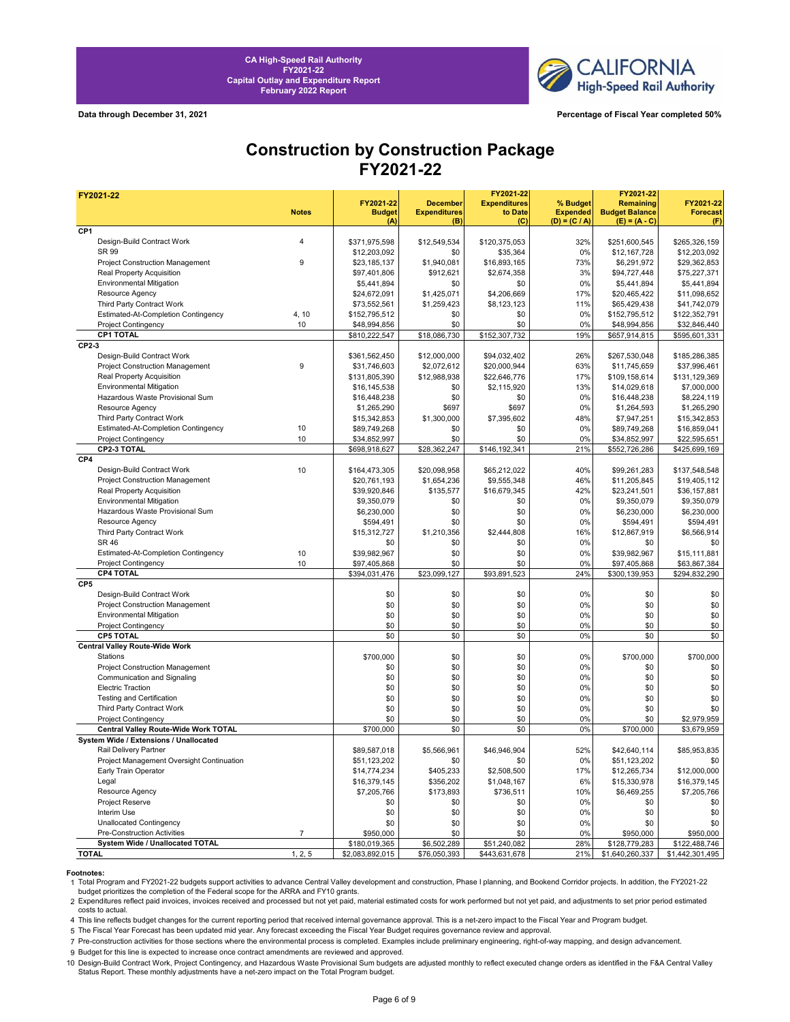

**Data through December 31, 2021 Percentage of Fiscal Year completed 50%**

## **Construction by Construction Package FY2021-22**

| FY2021-22                                 |                |                 |                            | FY2021-22           |                                    | FY2021-22                                |                 |
|-------------------------------------------|----------------|-----------------|----------------------------|---------------------|------------------------------------|------------------------------------------|-----------------|
|                                           |                | FY2021-22       | <b>December</b>            | <b>Expenditures</b> | % Budget                           | Remaining                                | FY2021-22       |
|                                           | <b>Notes</b>   | <b>Budget</b>   | <b>Expenditures</b><br>(B) | to Date             | <b>Expended</b><br>$(D) = (C / A)$ | <b>Budget Balance</b><br>$(E) = (A - C)$ | <b>Forecast</b> |
| CP <sub>1</sub>                           |                | (A)             |                            | (C)                 |                                    |                                          | (F)             |
| Design-Build Contract Work                | $\overline{4}$ | \$371,975,598   | \$12,549,534               | \$120,375,053       | 32%                                | \$251,600,545                            | \$265,326,159   |
| SR 99                                     |                | \$12,203,092    | \$0                        | \$35.364            | 0%                                 | \$12,167,728                             | \$12,203,092    |
| Project Construction Management           | 9              | \$23,185,137    | \$1,940,081                | \$16,893,165        | 73%                                | \$6,291,972                              | \$29,362,853    |
| Real Property Acquisition                 |                |                 | \$912,621                  | \$2,674,358         | 3%                                 |                                          | \$75,227,371    |
|                                           |                | \$97,401,806    |                            |                     |                                    | \$94,727,448                             |                 |
| <b>Environmental Mitigation</b>           |                | \$5,441,894     | \$0                        | \$0                 | 0%                                 | \$5,441,894                              | \$5,441,894     |
| Resource Agency                           |                | \$24,672,091    | \$1,425,071                | \$4,206,669         | 17%                                | \$20,465,422                             | \$11,098,652    |
| Third Party Contract Work                 |                | \$73,552,561    | \$1,259,423                | \$8,123,123         | 11%                                | \$65,429,438                             | \$41,742,079    |
| Estimated-At-Completion Contingency       | 4.10           | \$152.795.512   | \$0                        | \$0                 | 0%                                 | \$152,795,512                            | \$122,352,791   |
| Project Contingency                       | 10             | \$48,994,856    | \$0                        | \$0                 | 0%                                 | \$48,994,856                             | \$32,846,440    |
| CP1 TOTAL                                 |                | \$810,222,547   | \$18,086,730               | \$152,307,732       | 19%                                | \$657,914,815                            | \$595,601,331   |
| CP2-3                                     |                |                 |                            |                     |                                    |                                          |                 |
| Design-Build Contract Work                |                | \$361,562,450   | \$12,000,000               | \$94,032,402        | 26%                                | \$267,530,048                            | \$185,286,385   |
| Project Construction Management           | 9              | \$31,746,603    | \$2,072,612                | \$20,000.944        | 63%                                | \$11.745.659                             | \$37,996,461    |
| <b>Real Property Acquisition</b>          |                | \$131,805,390   | \$12,988,938               | \$22,646,776        | 17%                                | \$109,158,614                            | \$131,129,369   |
| <b>Environmental Mitigation</b>           |                | \$16,145,538    | \$0                        | \$2,115,920         | 13%                                | \$14,029,618                             | \$7,000,000     |
| Hazardous Waste Provisional Sum           |                | \$16,448,238    | \$0                        | \$0                 | 0%                                 | \$16,448,238                             | \$8,224,119     |
| Resource Agency                           |                | \$1,265,290     | \$697                      | \$697               | 0%                                 | \$1,264,593                              | \$1,265,290     |
| Third Party Contract Work                 |                | \$15,342,853    | \$1,300,000                | \$7,395,602         | 48%                                | \$7,947,251                              | \$15,342,853    |
| Estimated-At-Completion Contingency       | 10             | \$89,749,268    | \$0                        | \$0                 | 0%                                 | \$89,749,268                             | \$16,859,041    |
| Project Contingency                       | 10             | \$34,852,997    | \$0                        | \$0                 | 0%                                 | \$34,852,997                             | \$22,595,651    |
| CP2-3 TOTAL                               |                | \$698,918,627   | \$28,362,247               | \$146,192,341       | 21%                                | \$552,726,286                            | \$425,699,169   |
| CP4                                       |                |                 |                            |                     |                                    |                                          |                 |
| Design-Build Contract Work                | 10             | \$164,473,305   | \$20,098,958               | \$65,212,022        | 40%                                | \$99,261,283                             | \$137,548,548   |
| Project Construction Management           |                | \$20,761,193    | \$1,654,236                | \$9,555,348         | 46%                                | \$11,205,845                             | \$19,405,112    |
| Real Property Acquisition                 |                | \$39,920,846    | \$135,577                  | \$16,679,345        | 42%                                | \$23,241,501                             | \$36,157,881    |
| <b>Environmental Mitigation</b>           |                |                 |                            |                     | 0%                                 | \$9,350,079                              | \$9,350,079     |
|                                           |                | \$9,350,079     | \$0<br>\$0                 | \$0                 | 0%                                 |                                          | \$6,230,000     |
| Hazardous Waste Provisional Sum           |                | \$6,230,000     |                            | \$0                 |                                    | \$6,230,000                              |                 |
| Resource Agency                           |                | \$594,491       | \$0                        | \$0                 | 0%                                 | \$594,491                                | \$594,491       |
| Third Party Contract Work                 |                | \$15,312,727    | \$1,210,356                | \$2,444,808         | 16%                                | \$12,867,919                             | \$6,566,914     |
| <b>SR 46</b>                              |                | \$0             | \$0                        | \$0                 | 0%                                 | \$0                                      | \$0             |
| Estimated-At-Completion Contingency       | 10             | \$39,982,967    | \$0                        | \$0                 | 0%                                 | \$39,982,967                             | \$15,111,881    |
| Project Contingency                       | 10             | \$97,405,868    | \$0                        | \$0                 | 0%                                 | \$97,405,868                             | \$63,867,384    |
| <b>CP4 TOTAL</b>                          |                | \$394,031,476   | \$23,099,127               | \$93,891,523        | 24%                                | \$300,139,953                            | \$294,832,290   |
| CP5                                       |                |                 |                            |                     |                                    |                                          |                 |
| Design-Build Contract Work                |                | \$0             | \$0                        | \$0                 | 0%                                 | \$0                                      | \$0             |
| Project Construction Management           |                | \$0             | \$0                        | \$0                 | 0%                                 | \$0                                      | \$0             |
| <b>Environmental Mitigation</b>           |                | \$0             | \$0                        | \$0                 | 0%                                 | \$0                                      | \$0             |
| <b>Project Contingency</b>                |                | \$0             | \$0                        | \$0                 | 0%                                 | \$0                                      | \$0             |
| <b>CP5 TOTAL</b>                          |                | \$0             | \$0                        | \$0                 | 0%                                 | \$0                                      | \$0             |
| <b>Central Valley Route-Wide Work</b>     |                |                 |                            |                     |                                    |                                          |                 |
| Stations                                  |                | \$700,000       | \$0                        | \$0                 | 0%                                 | \$700,000                                | \$700,000       |
| Project Construction Management           |                | \$0             | \$0                        | \$0                 | 0%                                 | \$0                                      | \$0             |
| Communication and Signaling               |                | \$0             | \$0                        | \$0                 | 0%                                 | \$0                                      | \$0             |
| <b>Electric Traction</b>                  |                | \$0             | \$0                        | \$0                 | 0%                                 | \$0                                      | \$0             |
| <b>Testing and Certification</b>          |                | \$0             | \$0                        | \$0                 | 0%                                 | \$0                                      | \$0             |
| Third Party Contract Work                 |                | \$0             | \$0                        | \$0                 | 0%                                 | \$0                                      | \$0             |
| <b>Project Contingency</b>                |                | \$0             | \$0                        | \$0                 | 0%                                 | \$0                                      | \$2,979,959     |
| Central Valley Route-Wide Work TOTAL      |                | \$700,000       | \$0                        | \$0                 | 0%                                 | \$700,000                                | \$3,679,959     |
| System Wide / Extensions / Unallocated    |                |                 |                            |                     |                                    |                                          |                 |
| Rail Delivery Partner                     |                | \$89,587,018    | \$5,566,961                | \$46,946,904        | 52%                                | \$42,640,114                             | \$85,953,835    |
|                                           |                |                 |                            |                     |                                    |                                          |                 |
| Project Management Oversight Continuation |                | \$51,123,202    | \$0                        | \$0                 | 0%                                 | \$51,123,202                             | \$0             |
| Early Train Operator                      |                | \$14,774,234    | \$405,233                  | \$2,508,500         | 17%                                | \$12,265,734                             | \$12,000,000    |
| Legal                                     |                | \$16,379,145    | \$356,202                  | \$1,048,167         | 6%                                 | \$15,330,978                             | \$16,379,145    |
| Resource Agency                           |                | \$7,205,766     | \$173,893                  | \$736,511           | 10%                                | \$6,469,255                              | \$7,205,766     |
| Project Reserve                           |                | \$0             | \$0                        | \$0                 | 0%                                 | \$0                                      | \$0             |
| Interim Use                               |                | \$0             | \$0                        | \$0                 | 0%                                 | \$0                                      | \$0             |
| <b>Unallocated Contingency</b>            |                | \$0             | \$0                        | \$0                 | 0%                                 | \$0                                      | \$0             |
| Pre-Construction Activities               | $\overline{7}$ | \$950,000       | \$0                        | \$0                 | 0%                                 | \$950,000                                | \$950,000       |
| System Wide / Unallocated TOTAL           |                | \$180,019,365   | \$6,502,289                | \$51,240,082        | 28%                                | \$128,779,283                            | \$122,488,746   |
| <b>TOTAL</b>                              | 1, 2, 5        | \$2,083,892,015 | \$76,050,393               | \$443,631,678       | 21%                                | \$1,640,260,337                          | \$1,442,301,495 |

**Footnotes:**<br>1 Total Program and FY2021-22 budgets support activities to advance Central Valley development and construction, Phase I planning, and Bookend Corridor projects. In addition, the FY2021-22 budget prioritizes the completion of the Federal scope for the ARRA and FY10 grants.

2 Expenditures reflect paid invoices, invoices received and processed but not yet paid, material estimated costs for work performed but not yet paid, and adjustments to set prior period estimated costs to actual.

4 This line reflects budget changes for the current reporting period that received internal governance approval. This is a net-zero impact to the Fiscal Year and Program budget.

5 The Fiscal Year Forecast has been updated mid year. Any forecast exceeding the Fiscal Year Budget requires governance review and approval.

7 Pre-construction activities for those sections where the environmental process is completed. Examples include preliminary engineering, right-of-way mapping, and design advancement.

9 Budget for this line is expected to increase once contract amendments are reviewed and approved.

10 Design-Build Contract Work, Project Contingency, and Hazardous Waste Provisional Sum budgets are adjusted monthly to reflect executed change orders as identified in the F&A Central Valley Status Report. These monthly adjustments have a net-zero impact on the Total Program budget.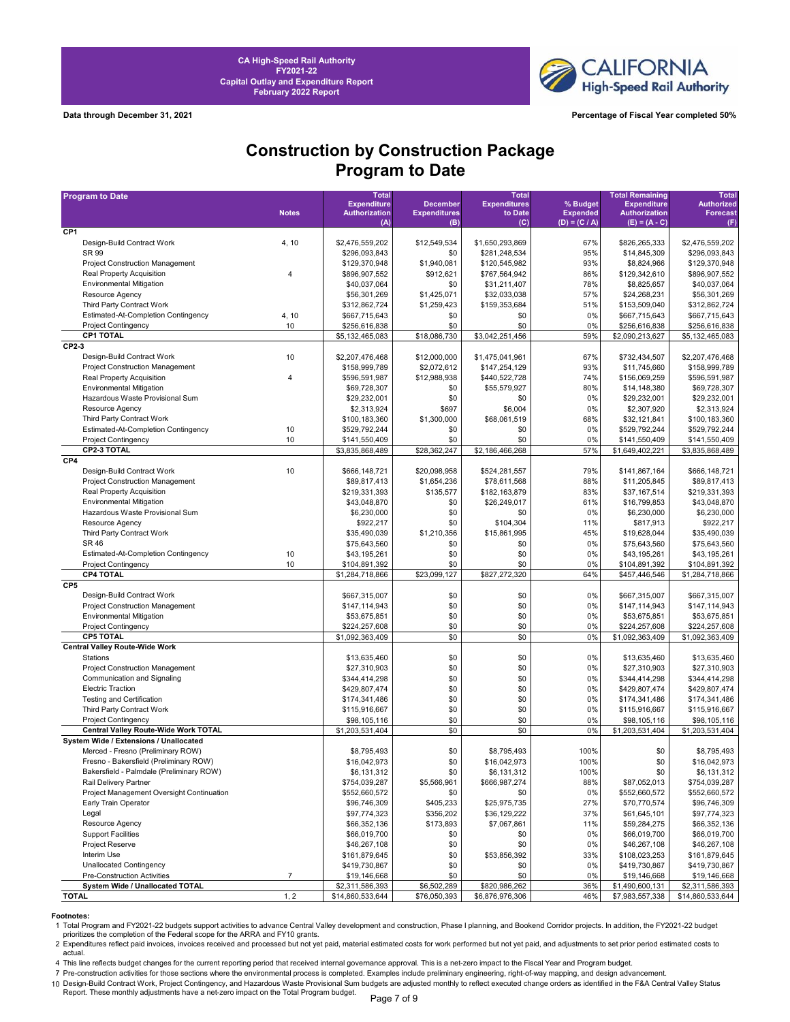

**Data through December 31, 2021 Percentage of Fiscal Year completed 50%**

## **Construction by Construction Package Program to Date**

| <b>Program to Date</b>                                             |                | <b>Total</b>                  |                            | <b>Total</b>                |                                    | <b>Total Remaining</b>                  | <b>Total</b>                  |
|--------------------------------------------------------------------|----------------|-------------------------------|----------------------------|-----------------------------|------------------------------------|-----------------------------------------|-------------------------------|
|                                                                    |                | <b>Expenditure</b>            | <b>December</b>            | <b>Expenditures</b>         | % Budget                           | <b>Expenditure</b>                      | <b>Authorized</b>             |
|                                                                    | <b>Notes</b>   | <b>Authorization</b><br>(A)   | <b>Expenditures</b><br>(B) | to Date<br>(C)              | <b>Expended</b><br>$(D) = (C / A)$ | <b>Authorization</b><br>$(E) = (A - C)$ | <b>Forecast</b><br>(F)        |
| CP <sub>1</sub>                                                    |                |                               |                            |                             |                                    |                                         |                               |
| Design-Build Contract Work                                         | 4, 10          | \$2,476,559,202               | \$12,549,534               | \$1,650,293,869             | 67%                                | \$826,265,333                           | \$2,476,559,202               |
| SR 99                                                              |                | \$296,093,843                 | \$0                        | \$281,248,534               | 95%                                | \$14,845,309                            | \$296,093,843                 |
| <b>Project Construction Management</b>                             |                | \$129,370,948                 | \$1,940,081                | \$120,545,982               | 93%                                | \$8,824,966                             | \$129,370,948                 |
| Real Property Acquisition                                          | $\overline{4}$ | \$896,907,552                 | \$912,621                  | \$767,564,942               | 86%                                | \$129,342,610                           | \$896,907,552                 |
| <b>Environmental Mitigation</b>                                    |                | \$40,037,064                  | \$0                        | \$31,211,407                | 78%                                | \$8,825,657                             | \$40,037,064                  |
| Resource Agency                                                    |                | \$56,301,269                  | \$1,425,071                | \$32,033,038                | 57%                                | \$24,268,231                            | \$56,301,269                  |
| Third Party Contract Work                                          |                | \$312,862,724                 | \$1,259,423                | \$159,353,684               | 51%                                | \$153,509,040                           | \$312,862,724                 |
| Estimated-At-Completion Contingency                                | 4, 10          | \$667,715,643                 | \$0                        | \$0                         | 0%                                 | \$667,715,643                           | \$667,715,643                 |
| <b>Project Contingency</b>                                         | 10             | \$256,616,838                 | \$0                        | \$0                         | 0%                                 | \$256,616,838                           | \$256,616,838                 |
| <b>CP1 TOTAL</b>                                                   |                | \$5,132,465,083               | \$18,086,730               | \$3,042,251,456             | 59%                                | \$2,090,213,627                         | \$5,132,465,083               |
| CP2-3                                                              |                |                               |                            |                             |                                    |                                         |                               |
| Design-Build Contract Work                                         | 10             | \$2,207,476,468               | \$12,000,000               | \$1,475,041,961             | 67%                                | \$732,434,507                           | \$2,207,476,468               |
| <b>Project Construction Management</b>                             |                | \$158,999,789                 | \$2,072,612                | \$147,254,129               | 93%                                | \$11,745,660                            | \$158,999,789                 |
| Real Property Acquisition                                          | $\overline{4}$ | \$596,591,987                 | \$12,988,938               | \$440,522,728               | 74%                                | \$156,069,259                           | \$596,591,987                 |
| <b>Environmental Mitigation</b>                                    |                | \$69,728,307                  | \$0                        | \$55,579,927                | 80%                                | \$14,148,380                            | \$69,728,307                  |
| Hazardous Waste Provisional Sum                                    |                | \$29,232,001                  | \$0                        | \$0                         | 0%                                 | \$29,232,001                            | \$29,232,001                  |
| Resource Agency                                                    |                | \$2,313,924                   | \$697                      | \$6,004                     | 0%                                 | \$2,307,920                             | \$2,313,924                   |
| Third Party Contract Work                                          |                | \$100,183,360                 | \$1,300,000                | \$68,061,519                | 68%                                | \$32,121,841                            | \$100,183,360                 |
| Estimated-At-Completion Contingency                                | 10             | \$529,792,244                 | \$0                        | \$0                         | 0%                                 | \$529,792,244                           | \$529,792,244                 |
| <b>Project Contingency</b>                                         | 10             | \$141,550,409                 | \$0                        | \$0                         | 0%                                 | \$141,550,409                           | \$141,550,409                 |
| <b>CP2-3 TOTAL</b>                                                 |                | \$3,835,868,489               | \$28,362,247               | \$2,186,466,268             | 57%                                | \$1,649,402,221                         | \$3,835,868,489               |
| CP4                                                                |                |                               |                            |                             |                                    |                                         |                               |
| Design-Build Contract Work                                         | 10             | \$666,148,721                 | \$20,098,958               | \$524,281,557               | 79%                                | \$141,867,164                           | \$666,148,721                 |
| Project Construction Management                                    |                | \$89,817,413                  | \$1,654,236                | \$78,611,568                | 88%                                | \$11,205,845                            | \$89,817,413                  |
| Real Property Acquisition                                          |                | \$219,331,393                 | \$135,577                  | \$182,163,879               | 83%                                | \$37,167,514                            | \$219,331,393                 |
| <b>Environmental Mitigation</b>                                    |                | \$43,048,870                  | \$0                        | \$26,249,017                | 61%                                | \$16,799,853                            | \$43,048,870                  |
| Hazardous Waste Provisional Sum                                    |                | \$6,230,000                   | \$0                        | \$0                         | 0%                                 | \$6,230,000                             | \$6,230,000                   |
| Resource Agency                                                    |                | \$922,217                     | \$0                        | \$104,304                   | 11%                                | \$817,913                               | \$922.217                     |
| Third Party Contract Work                                          |                | \$35,490,039                  | \$1,210,356                | \$15,861,995                | 45%                                | \$19,628,044                            | \$35,490,039                  |
| <b>SR 46</b>                                                       |                | \$75,643,560                  | \$0                        | \$0                         | 0%                                 | \$75,643,560                            | \$75,643,560                  |
| Estimated-At-Completion Contingency                                | 10             | \$43,195,261                  | \$0                        | \$0                         | 0%                                 | \$43,195,261                            | \$43,195,261                  |
| <b>Project Contingency</b>                                         | 10             | \$104,891,392                 | \$0                        | \$0                         | 0%                                 | \$104,891,392                           | \$104,891,392                 |
| <b>CP4 TOTAL</b>                                                   |                | \$1,284,718,866               | \$23,099,127               | \$827,272,320               | 64%                                | \$457,446,546                           | \$1,284,718,866               |
| CP <sub>5</sub>                                                    |                |                               |                            |                             |                                    |                                         |                               |
| Design-Build Contract Work                                         |                | \$667,315,007                 | \$0                        | \$0                         | 0%                                 | \$667,315,007                           | \$667,315,007                 |
| Project Construction Management                                    |                | \$147,114,943                 | \$0                        | \$0                         | 0%                                 | \$147,114,943                           | \$147,114,943                 |
| <b>Environmental Mitigation</b>                                    |                | \$53,675,851                  | \$0                        | \$0                         | 0%                                 | \$53,675,851                            | \$53,675,851                  |
| <b>Project Contingency</b>                                         |                | \$224,257,608                 | \$0                        | \$0                         | 0%                                 | \$224,257,608                           | \$224,257,608                 |
| <b>CP5 TOTAL</b>                                                   |                | \$1,092,363,409               | \$0                        | \$0                         | 0%                                 | \$1,092,363,409                         | \$1,092,363,409               |
| <b>Central Valley Route-Wide Work</b>                              |                |                               |                            |                             |                                    |                                         |                               |
| Stations                                                           |                | \$13,635,460                  | \$0                        | \$0                         | 0%                                 | \$13,635,460                            | \$13,635,460                  |
| Project Construction Management                                    |                | \$27,310,903                  | \$0                        | \$0                         | 0%                                 | \$27,310,903                            | \$27,310,903                  |
| Communication and Signaling                                        |                | \$344,414,298                 | \$0                        | \$0                         | 0%                                 | \$344,414,298                           | \$344,414,298                 |
| <b>Electric Traction</b><br><b>Testing and Certification</b>       |                | \$429,807,474                 | \$0                        | \$0                         | 0%                                 | \$429,807,474                           | \$429,807,474                 |
|                                                                    |                | \$174,341,486                 | \$0                        | \$0                         | 0%                                 | \$174,341,486                           | \$174,341,486                 |
| Third Party Contract Work                                          |                | \$115,916,667                 | \$0                        | \$0                         | 0%                                 | \$115,916,667                           | \$115,916,667                 |
| <b>Project Contingency</b>                                         |                | \$98,105,116                  | \$0                        | \$0<br>\$0                  | 0%                                 | \$98,105,116                            | \$98,105,116                  |
| Central Valley Route-Wide Work TOTAL                               |                | \$1,203,531,404               | \$0                        |                             | 0%                                 | \$1,203,531,404                         | \$1,203,531,404               |
| System Wide / Extensions / Unallocated                             |                | \$8,795,493                   |                            |                             |                                    |                                         | \$8,795,493                   |
| Merced - Fresno (Preliminary ROW)                                  |                | \$16,042,973                  | \$0                        | \$8,795,493                 | 100%                               | \$0                                     | \$16,042,973                  |
| Fresno - Bakersfield (Preliminary ROW)                             |                |                               | \$0                        | \$16,042,973                | 100%                               | \$0                                     |                               |
| Bakersfield - Palmdale (Preliminary ROW)                           |                | \$6,131,312                   | \$0                        | \$6,131,312                 | 100%                               | \$0                                     | \$6,131,312                   |
| Rail Delivery Partner<br>Project Management Oversight Continuation |                | \$754,039,287                 | \$5,566,961                | \$666,987,274               | 88%                                | \$87,052,013                            | \$754,039,287                 |
| Early Train Operator                                               |                | \$552,660,572                 | \$0                        | \$0                         | 0%                                 | \$552,660,572                           | \$552,660,572                 |
| Legal                                                              |                | \$96,746,309                  | \$405,233                  | \$25,975,735                | 27%                                | \$70,770,574                            | \$96,746,309                  |
|                                                                    |                | \$97,774,323<br>\$66,352,136  | \$356,202                  | \$36,129,222<br>\$7,067,861 | 37%                                | \$61,645,101                            | \$97,774,323<br>\$66,352,136  |
| Resource Agency<br><b>Support Facilities</b>                       |                |                               | \$173,893                  |                             | 11%                                | \$59,284,275                            |                               |
| Project Reserve                                                    |                | \$66,019,700                  | \$0<br>\$0                 | \$0<br>\$0                  | 0%<br>0%                           | \$66,019,700<br>\$46,267,108            | \$66,019,700                  |
| Interim Use                                                        |                | \$46,267,108<br>\$161,879,645 | \$0                        | \$53,856,392                | 33%                                | \$108,023,253                           | \$46,267,108<br>\$161,879,645 |
| <b>Unallocated Contingency</b>                                     |                | \$419,730,867                 | \$0                        | \$0                         | 0%                                 | \$419,730,867                           | \$419,730,867                 |
| Pre-Construction Activities                                        | $\overline{7}$ | \$19,146,668                  | \$0                        | \$0                         | 0%                                 | \$19,146,668                            | \$19,146,668                  |
| System Wide / Unallocated TOTAL                                    |                | \$2,311,586,393               | \$6,502,289                | \$820,986,262               | 36%                                | \$1,490,600,131                         | \$2,311,586,393               |
| <b>TOTAL</b>                                                       | 1, 2           | \$14,860,533,644              | \$76,050,393               | \$6,876,976,306             | 46%                                | \$7,983,557,338                         | \$14,860,533,644              |
|                                                                    |                |                               |                            |                             |                                    |                                         |                               |

Footnotes:<br>1 Total Program and FY2021-22 budgets support activities to advance Central Valley development and construction, Phase I planning, and Bookend Corridor projects. In addition, the FY2021-22 budget<br>1 prioritizes t

2 Expenditures reflect paid invoices, invoices received and processed but not yet paid, material estimated costs for work performed but not yet paid, and adjustments to set prior period estimated costs to actual.

4 This line reflects budget changes for the current reporting period that received internal governance approval. This is a net-zero impact to the Fiscal Year and Program budget.

7 Pre-construction activities for those sections where the environmental process is completed. Examples include preliminary engineering, right-of-way mapping, and design advancement.

10 Design-Build Contract Work, Project Contingency, and Hazardous Waste Provisional Sum budgets are adjusted monthly to reflect executed change orders as identified in the F&A Central Valley Status<br>Report. These monthly ad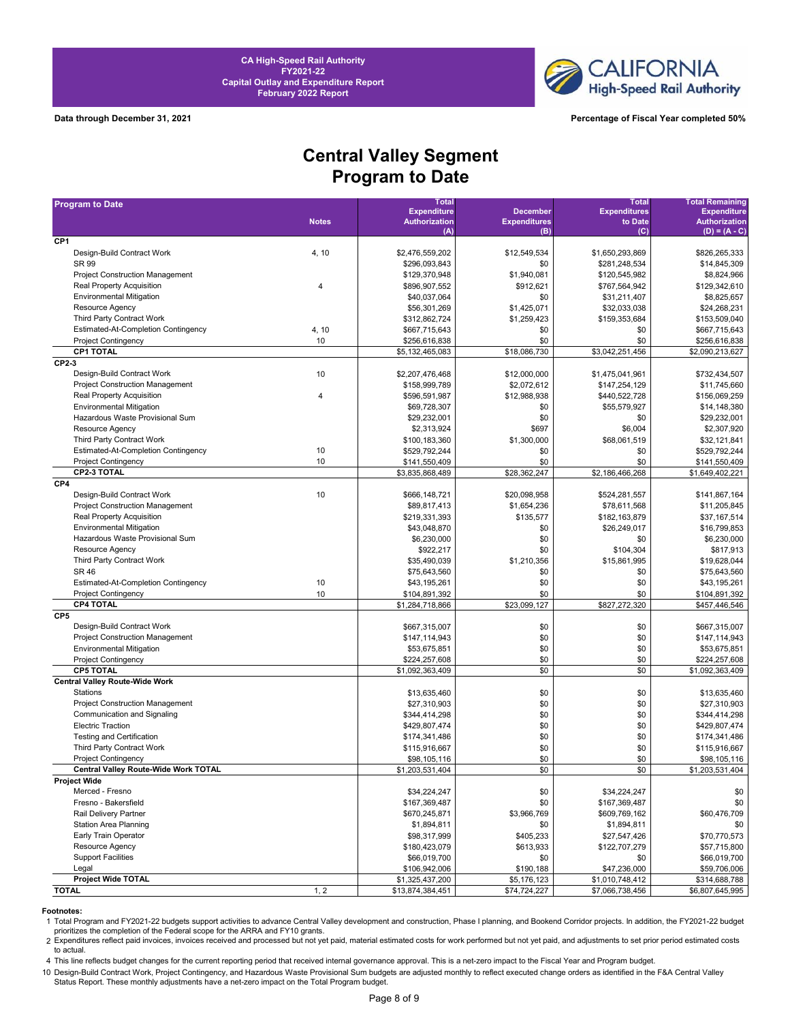



**Data through December 31, 2021 Percentage of Fiscal Year completed 50%**

# **Central Valley Segment Program to Date**

| <b>Program to Date</b>                     |                | <b>Total</b>         |                     | <b>Total</b>        | <b>Total Remaining</b> |
|--------------------------------------------|----------------|----------------------|---------------------|---------------------|------------------------|
|                                            |                | <b>Expenditure</b>   | <b>December</b>     | <b>Expenditures</b> | <b>Expenditure</b>     |
|                                            | <b>Notes</b>   | <b>Authorization</b> | <b>Expenditures</b> | to Date             | <b>Authorization</b>   |
| CP <sub>1</sub>                            |                | (A)                  | (B)                 | (C)                 | $(D) = (A - C)$        |
| Design-Build Contract Work                 | 4, 10          | \$2,476,559,202      | \$12,549,534        | \$1,650,293,869     | \$826,265,333          |
| <b>SR 99</b>                               |                | \$296,093,843        | \$0                 | \$281,248,534       | \$14,845,309           |
| <b>Project Construction Management</b>     |                | \$129,370,948        | \$1,940,081         | \$120,545,982       | \$8,824,966            |
| Real Property Acquisition                  | $\overline{4}$ | \$896,907,552        | \$912,621           | \$767,564,942       | \$129,342,610          |
| <b>Environmental Mitigation</b>            |                | \$40,037,064         | \$0                 | \$31,211,407        | \$8,825,657            |
| Resource Agency                            |                | \$56,301,269         | \$1,425,071         | \$32,033,038        | \$24,268,231           |
| Third Party Contract Work                  |                | \$312,862,724        | \$1,259,423         | \$159,353,684       | \$153,509,040          |
| Estimated-At-Completion Contingency        | 4, 10          | \$667,715,643        | \$0                 | \$0                 | \$667,715,643          |
| <b>Project Contingency</b>                 | 10             | \$256,616,838        | \$0                 | \$0                 | \$256,616,838          |
| <b>CP1 TOTAL</b>                           |                | \$5,132,465,083      | \$18,086,730        | \$3,042,251,456     | \$2,090,213,627        |
| CP2-3                                      |                |                      |                     |                     |                        |
| Design-Build Contract Work                 | 10             | \$2,207,476,468      | \$12,000,000        | \$1,475,041,961     | \$732,434,507          |
| <b>Project Construction Management</b>     |                | \$158,999,789        | \$2,072,612         | \$147,254,129       | \$11,745,660           |
| Real Property Acquisition                  | $\overline{4}$ | \$596,591,987        | \$12,988,938        | \$440,522,728       | \$156,069,259          |
| <b>Environmental Mitigation</b>            |                | \$69,728,307         | \$0                 | \$55,579,927        | \$14,148,380           |
| Hazardous Waste Provisional Sum            |                | \$29,232,001         | \$0                 | \$0                 | \$29,232,001           |
| Resource Agency                            |                | \$2,313,924          | \$697               | \$6,004             | \$2,307,920            |
| Third Party Contract Work                  |                | \$100,183,360        | \$1,300,000         | \$68,061,519        | \$32,121,841           |
| <b>Estimated-At-Completion Contingency</b> | 10             | \$529,792,244        | \$0                 | \$0                 | \$529,792,244          |
| <b>Project Contingency</b>                 | 10             | \$141,550,409        | \$0                 | \$0                 | \$141,550,409          |
| <b>CP2-3 TOTAL</b>                         |                | \$3,835,868,489      | \$28,362,247        | \$2,186,466,268     | \$1,649,402,221        |
| CP4                                        |                |                      |                     |                     |                        |
| Design-Build Contract Work                 | 10             | \$666,148,721        | \$20,098,958        | \$524,281,557       | \$141,867,164          |
| <b>Project Construction Management</b>     |                | \$89.817.413         | \$1,654,236         | \$78,611,568        | \$11,205,845           |
| <b>Real Property Acquisition</b>           |                | \$219,331,393        | \$135,577           | \$182,163,879       | \$37,167,514           |
| <b>Environmental Mitigation</b>            |                | \$43,048,870         | \$0                 | \$26,249,017        | \$16,799,853           |
| Hazardous Waste Provisional Sum            |                | \$6,230,000          | \$0                 | \$0                 | \$6,230,000            |
| Resource Agency                            |                | \$922,217            | \$0                 | \$104,304           | \$817,913              |
| Third Party Contract Work                  |                | \$35,490,039         | \$1,210,356         | \$15,861,995        | \$19,628,044           |
| <b>SR 46</b>                               |                | \$75,643,560         | \$0                 | \$0                 | \$75,643,560           |
| <b>Estimated-At-Completion Contingency</b> | 10             | \$43,195,261         | \$0                 | \$0                 | \$43,195,261           |
| <b>Project Contingency</b>                 | 10             | \$104,891,392        | \$0                 | \$0                 | \$104,891,392          |
| <b>CP4 TOTAL</b>                           |                | \$1,284,718,866      | \$23,099,127        | \$827,272,320       | \$457,446,546          |
| CP <sub>5</sub>                            |                |                      |                     |                     |                        |
| Design-Build Contract Work                 |                | \$667,315,007        | \$0                 | \$0                 | \$667,315,007          |
| <b>Project Construction Management</b>     |                | \$147,114,943        | \$0                 | \$0                 | \$147,114,943          |
| <b>Environmental Mitigation</b>            |                | \$53,675,851         | \$0                 | \$0                 | \$53,675,851           |
| <b>Project Contingency</b>                 |                | \$224,257,608        | \$0                 | \$0                 | \$224,257,608          |
| <b>CP5 TOTAL</b>                           |                | \$1,092,363,409      | \$0                 | \$0                 | \$1,092,363,409        |
| <b>Central Valley Route-Wide Work</b>      |                |                      |                     |                     |                        |
| Stations                                   |                | \$13,635,460         | \$0                 | \$0                 | \$13,635,460           |
| <b>Project Construction Management</b>     |                | \$27.310.903         | \$0                 | \$0                 | \$27,310,903           |
| Communication and Signaling                |                | \$344,414,298        | \$0                 | \$0                 | \$344,414,298          |
| <b>Electric Traction</b>                   |                | \$429,807,474        | \$0                 | \$0                 | \$429,807,474          |
| <b>Testing and Certification</b>           |                | \$174,341,486        | \$0                 | \$0                 | \$174,341,486          |
| Third Party Contract Work                  |                | \$115,916,667        | \$0                 | \$0                 | \$115,916,667          |
| <b>Project Contingency</b>                 |                | \$98,105,116         | \$0                 | \$0                 | \$98,105,116           |
| Central Valley Route-Wide Work TOTAL       |                | \$1,203,531,404      | \$0                 | \$0                 | \$1,203,531,404        |
| <b>Project Wide</b>                        |                |                      |                     |                     |                        |
| Merced - Fresno                            |                | \$34,224,247         | \$0                 | \$34,224,247        | \$0                    |
| Fresno - Bakersfield                       |                | \$167,369,487        | \$0                 | \$167,369,487       | \$0                    |
| Rail Delivery Partner                      |                | \$670,245,871        | \$3,966,769         | \$609,769,162       | \$60,476,709           |
| <b>Station Area Planning</b>               |                | \$1,894,811          | \$0                 | \$1,894,811         | \$0                    |
| Early Train Operator                       |                | \$98,317,999         | \$405,233           | \$27,547,426        | \$70,770,573           |
| Resource Agency                            |                | \$180,423,079        | \$613,933           | \$122,707,279       | \$57,715,800           |
| <b>Support Facilities</b>                  |                | \$66,019,700         | \$0                 | \$0                 | \$66,019,700           |
| Legal                                      |                | \$106,942,006        | \$190,188           | \$47,236,000        | \$59,706,006           |
| <b>Project Wide TOTAL</b>                  |                | \$1,325,437,200      | \$5,176,123         | \$1,010,748,412     | \$314,688,788          |
| <b>TOTAL</b>                               | 1, 2           | \$13,874,384,451     | \$74,724,227        | \$7,066,738,456     | \$6,807,645,995        |

**Footnotes:**<br>1 Total Program and FY2021-22 budgets support activities to advance Central Valley development and construction, Phase I planning, and Bookend Corridor projects. In addition, the FY2021-22 budget prioritizes the completion of the Federal scope for the ARRA and FY10 grants.

2 Expenditures reflect paid invoices, invoices received and processed but not yet paid, material estimated costs for work performed but not yet paid, and adjustments to set prior period estimated costs to actual.

4 This line reflects budget changes for the current reporting period that received internal governance approval. This is a net-zero impact to the Fiscal Year and Program budget.

10 Design-Build Contract Work, Project Contingency, and Hazardous Waste Provisional Sum budgets are adjusted monthly to reflect executed change orders as identified in the F&A Central Valley<br>Status Report. These monthly ad